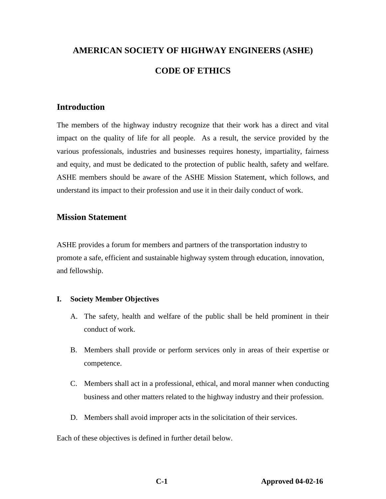# **AMERICAN SOCIETY OF HIGHWAY ENGINEERS (ASHE) CODE OF ETHICS**

### **Introduction**

The members of the highway industry recognize that their work has a direct and vital impact on the quality of life for all people. As a result, the service provided by the various professionals, industries and businesses requires honesty, impartiality, fairness and equity, and must be dedicated to the protection of public health, safety and welfare. ASHE members should be aware of the ASHE Mission Statement, which follows, and understand its impact to their profession and use it in their daily conduct of work.

## **Mission Statement**

ASHE provides a forum for members and partners of the transportation industry to promote a safe, efficient and sustainable highway system through education, innovation, and fellowship.

#### **I. Society Member Objectives**

- A. The safety, health and welfare of the public shall be held prominent in their conduct of work.
- B. Members shall provide or perform services only in areas of their expertise or competence.
- C. Members shall act in a professional, ethical, and moral manner when conducting business and other matters related to the highway industry and their profession.
- D. Members shall avoid improper acts in the solicitation of their services.

Each of these objectives is defined in further detail below.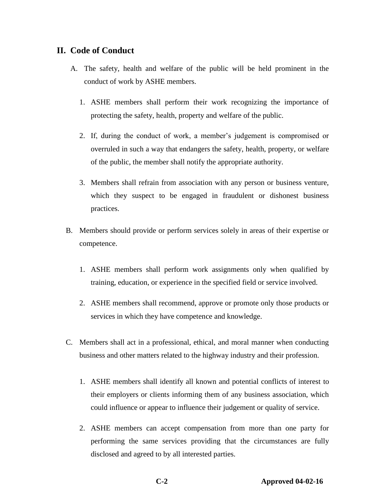#### **II. Code of Conduct**

- A. The safety, health and welfare of the public will be held prominent in the conduct of work by ASHE members.
	- 1. ASHE members shall perform their work recognizing the importance of protecting the safety, health, property and welfare of the public.
	- 2. If, during the conduct of work, a member's judgement is compromised or overruled in such a way that endangers the safety, health, property, or welfare of the public, the member shall notify the appropriate authority.
	- 3. Members shall refrain from association with any person or business venture, which they suspect to be engaged in fraudulent or dishonest business practices.
- B. Members should provide or perform services solely in areas of their expertise or competence.
	- 1. ASHE members shall perform work assignments only when qualified by training, education, or experience in the specified field or service involved.
	- 2. ASHE members shall recommend, approve or promote only those products or services in which they have competence and knowledge.
- C. Members shall act in a professional, ethical, and moral manner when conducting business and other matters related to the highway industry and their profession.
	- 1. ASHE members shall identify all known and potential conflicts of interest to their employers or clients informing them of any business association, which could influence or appear to influence their judgement or quality of service.
	- 2. ASHE members can accept compensation from more than one party for performing the same services providing that the circumstances are fully disclosed and agreed to by all interested parties.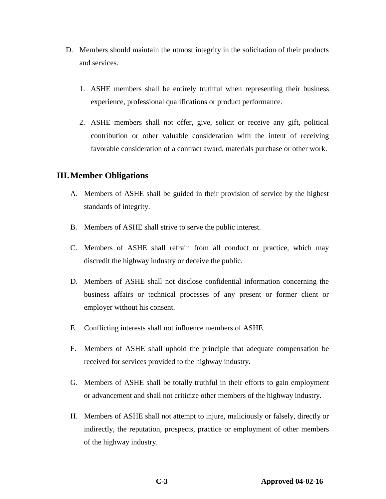- D. Members should maintain the utmost integrity in the solicitation of their products and services.
	- 1. ASHE members shall be entirely truthful when representing their business experience, professional qualifications or product performance.
	- 2. ASHE members shall not offer, give, solicit or receive any gift, political contribution or other valuable consideration with the intent of receiving favorable consideration of a contract award, materials purchase or other work.

#### **III.Member Obligations**

- A. Members of ASHE shall be guided in their provision of service by the highest standards of integrity.
- B. Members of ASHE shall strive to serve the public interest.
- C. Members of ASHE shall refrain from all conduct or practice, which may discredit the highway industry or deceive the public.
- D. Members of ASHE shall not disclose confidential information concerning the business affairs or technical processes of any present or former client or employer without his consent.
- E. Conflicting interests shall not influence members of ASHE.
- F. Members of ASHE shall uphold the principle that adequate compensation be received for services provided to the highway industry.
- G. Members of ASHE shall be totally truthful in their efforts to gain employment or advancement and shall not criticize other members of the highway industry.
- H. Members of ASHE shall not attempt to injure, maliciously or falsely, directly or indirectly, the reputation, prospects, practice or employment of other members of the highway industry.